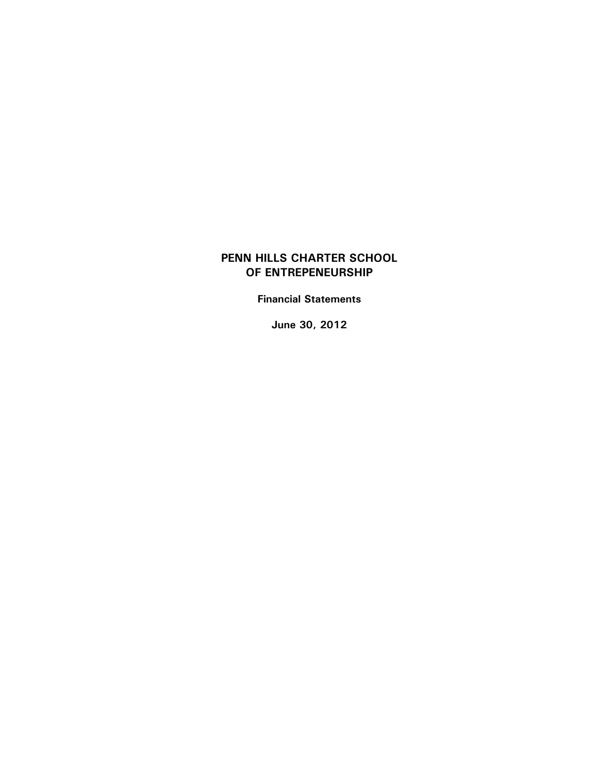**Financial Statements** 

**June 30, 2012**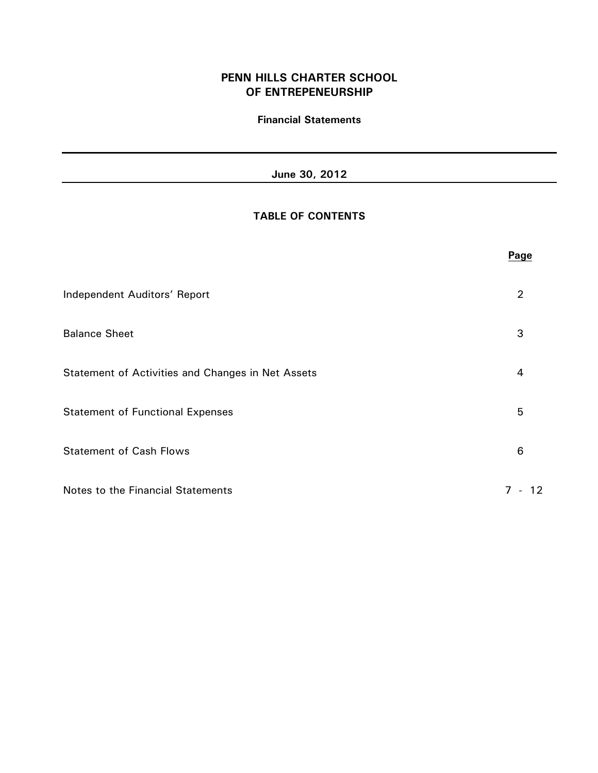## **Financial Statements**

# **June 30, 2012**

# **TABLE OF CONTENTS**

|                                                   | Page                     |
|---------------------------------------------------|--------------------------|
| Independent Auditors' Report                      | 2                        |
| <b>Balance Sheet</b>                              | 3                        |
| Statement of Activities and Changes in Net Assets | 4                        |
| <b>Statement of Functional Expenses</b>           | 5                        |
| <b>Statement of Cash Flows</b>                    | 6                        |
| Notes to the Financial Statements                 | $7 -$<br>12 <sup>1</sup> |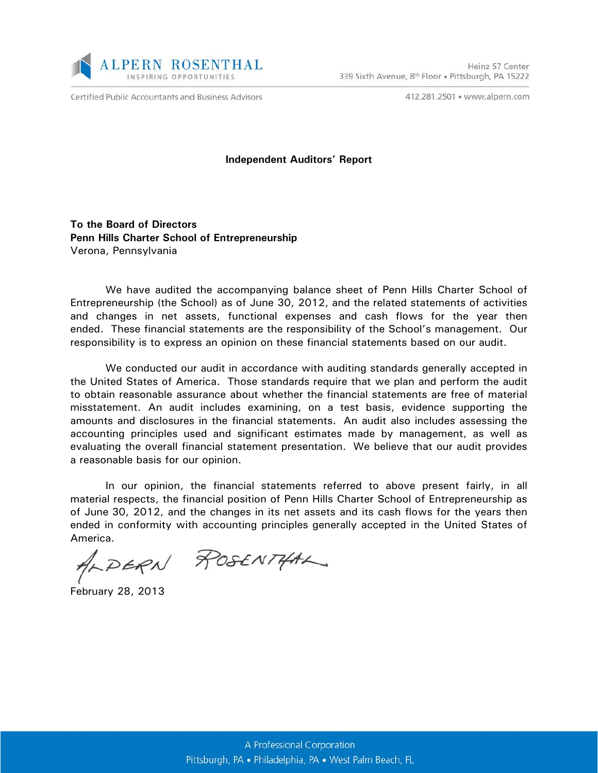

Certified Public Accountants and Business Advisors

412.281.2501 · www.alpern.com

#### **Independent Auditors' Report**

**To the Board of Directors Penn Hills Charter School of Entrepreneurship** Verona, Pennsylvania

We have audited the accompanying balance sheet of Penn Hills Charter School of Entrepreneurship (the School) as of June 30, 2012, and the related statements of activities and changes in net assets, functional expenses and cash flows for the year then ended. These financial statements are the responsibility of the School's management. Our responsibility is to express an opinion on these financial statements based on our audit.

We conducted our audit in accordance with auditing standards generally accepted in the United States of America. Those standards require that we plan and perform the audit to obtain reasonable assurance about whether the financial statements are free of material misstatement. An audit includes examining, on a test basis, evidence supporting the amounts and disclosures in the financial statements. An audit also includes assessing the accounting principles used and significant estimates made by management, as well as evaluating the overall financial statement presentation. We believe that our audit provides a reasonable basis for our opinion.

In our opinion, the financial statements referred to above present fairly, in all material respects, the financial position of Penn Hills Charter School of Entrepreneurship as of June 30, 2012, and the changes in its net assets and its cash flows for the years then ended in conformity with accounting principles generally accepted in the United States of

America.<br>ALDERN ROSENTHAL

February 28, 2013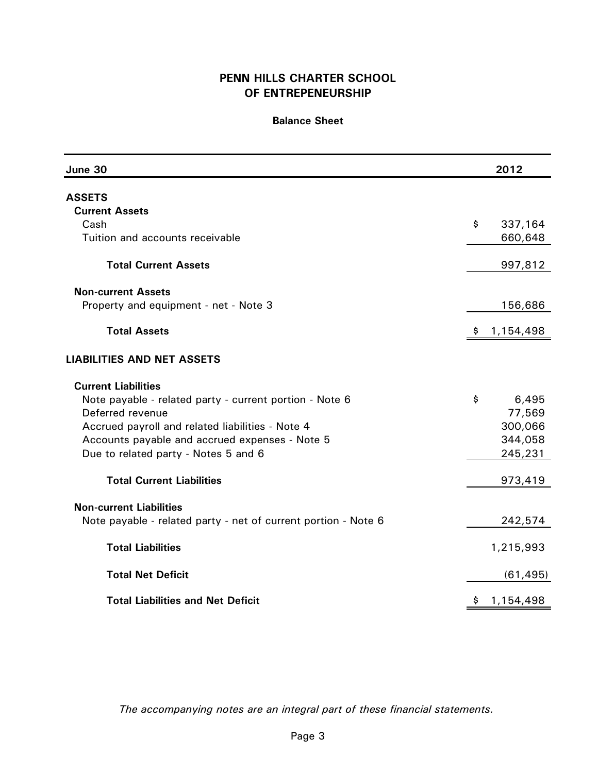# **Balance Sheet**

| June 30                                                        |    | 2012      |
|----------------------------------------------------------------|----|-----------|
| <b>ASSETS</b>                                                  |    |           |
| <b>Current Assets</b>                                          |    |           |
| Cash                                                           | \$ | 337,164   |
| Tuition and accounts receivable                                |    | 660,648   |
| <b>Total Current Assets</b>                                    |    | 997,812   |
| <b>Non-current Assets</b>                                      |    |           |
| Property and equipment - net - Note 3                          |    | 156,686   |
| <b>Total Assets</b>                                            | -Ş | 1,154,498 |
| <b>LIABILITIES AND NET ASSETS</b>                              |    |           |
| <b>Current Liabilities</b>                                     |    |           |
| Note payable - related party - current portion - Note 6        | \$ | 6,495     |
| Deferred revenue                                               |    | 77,569    |
| Accrued payroll and related liabilities - Note 4               |    | 300,066   |
| Accounts payable and accrued expenses - Note 5                 |    | 344,058   |
| Due to related party - Notes 5 and 6                           |    | 245,231   |
| <b>Total Current Liabilities</b>                               |    | 973,419   |
| <b>Non-current Liabilities</b>                                 |    |           |
| Note payable - related party - net of current portion - Note 6 |    | 242,574   |
| <b>Total Liabilities</b>                                       |    | 1,215,993 |
| <b>Total Net Deficit</b>                                       |    | (61, 495) |
| <b>Total Liabilities and Net Deficit</b>                       | \$ | 1,154,498 |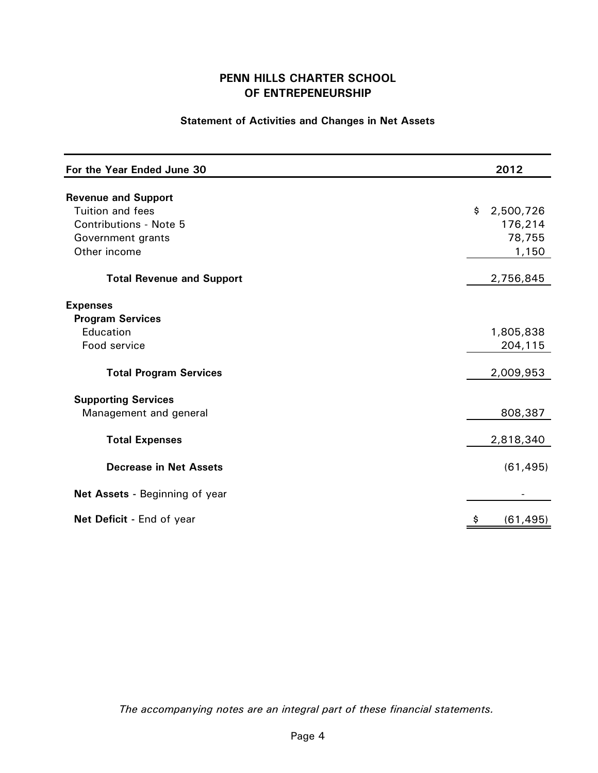# **Statement of Activities and Changes in Net Assets**

| For the Year Ended June 30                           | 2012            |
|------------------------------------------------------|-----------------|
| <b>Revenue and Support</b>                           |                 |
| <b>Tuition and fees</b>                              | \$<br>2,500,726 |
| <b>Contributions - Note 5</b>                        | 176,214         |
| Government grants                                    | 78,755          |
| Other income                                         | 1,150           |
| <b>Total Revenue and Support</b>                     | 2,756,845       |
| <b>Expenses</b>                                      |                 |
| <b>Program Services</b>                              |                 |
| Education                                            | 1,805,838       |
| Food service                                         | 204,115         |
| <b>Total Program Services</b>                        | 2,009,953       |
|                                                      |                 |
| <b>Supporting Services</b><br>Management and general | 808,387         |
| <b>Total Expenses</b>                                | 2,818,340       |
| <b>Decrease in Net Assets</b>                        | (61, 495)       |
| Net Assets - Beginning of year                       |                 |
| Net Deficit - End of year                            | \$<br>(61, 495) |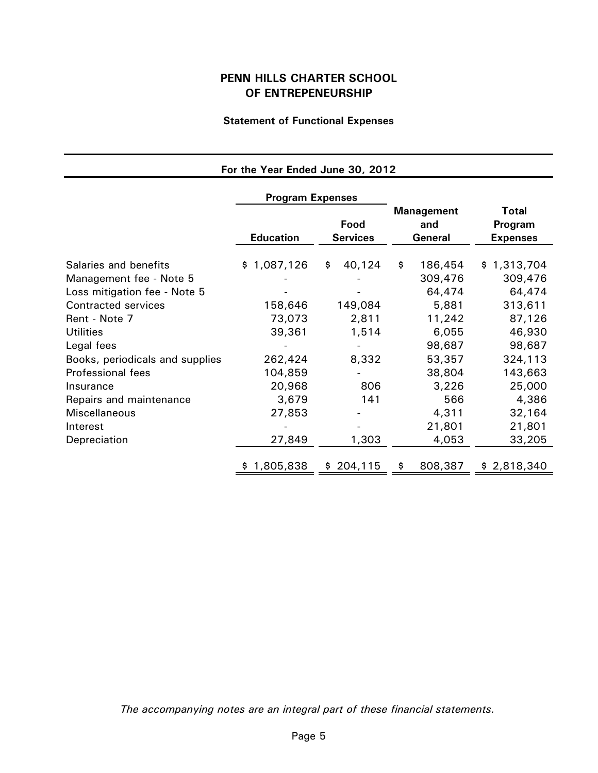# **Statement of Functional Expenses**

| For the Year Ended June 30, 2012 |                         |                         |                                     |                                     |
|----------------------------------|-------------------------|-------------------------|-------------------------------------|-------------------------------------|
|                                  | <b>Program Expenses</b> |                         |                                     |                                     |
|                                  | <b>Education</b>        | Food<br><b>Services</b> | <b>Management</b><br>and<br>General | Total<br>Program<br><b>Expenses</b> |
| Salaries and benefits            | \$1,087,126             | 40,124<br>\$            | \$<br>186,454                       | \$1,313,704                         |
| Management fee - Note 5          |                         |                         | 309,476                             | 309,476                             |
| Loss mitigation fee - Note 5     |                         |                         | 64,474                              | 64,474                              |
| <b>Contracted services</b>       | 158,646                 | 149,084                 | 5,881                               | 313,611                             |
| Rent - Note 7                    | 73,073                  | 2,811                   | 11,242                              | 87,126                              |
| <b>Utilities</b>                 | 39,361                  | 1,514                   | 6,055                               | 46,930                              |
| Legal fees                       |                         |                         | 98,687                              | 98,687                              |
| Books, periodicals and supplies  | 262,424                 | 8,332                   | 53,357                              | 324,113                             |
| Professional fees                | 104,859                 |                         | 38,804                              | 143,663                             |
| Insurance                        | 20,968                  | 806                     | 3,226                               | 25,000                              |
| Repairs and maintenance          | 3,679                   | 141                     | 566                                 | 4,386                               |
| Miscellaneous                    | 27,853                  |                         | 4,311                               | 32,164                              |
| Interest                         |                         |                         | 21,801                              | 21,801                              |
| Depreciation                     | 27,849                  | 1,303                   | 4,053                               | 33,205                              |
|                                  | 1,805,838               | 204,115<br>\$.          | \$<br>808,387                       | \$2,818,340                         |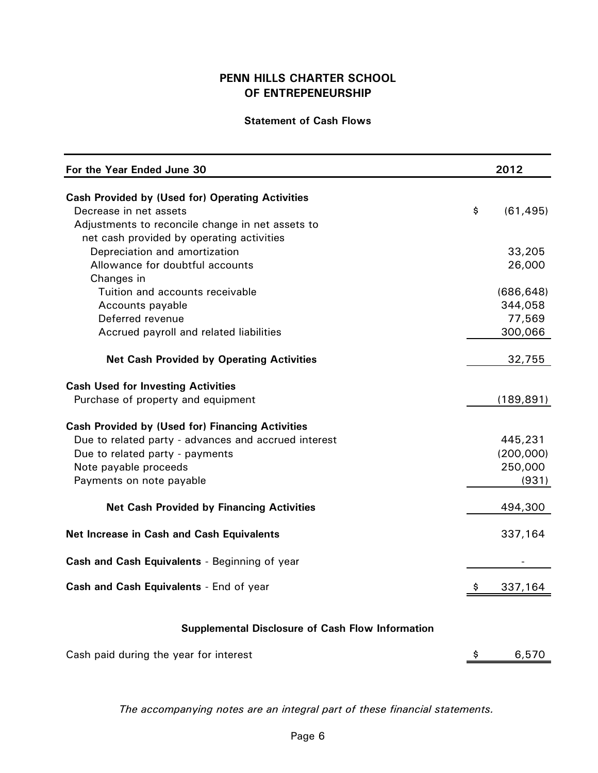## **Statement of Cash Flows**

| For the Year Ended June 30                              |    | 2012       |
|---------------------------------------------------------|----|------------|
| <b>Cash Provided by (Used for) Operating Activities</b> |    |            |
| Decrease in net assets                                  | \$ | (61, 495)  |
| Adjustments to reconcile change in net assets to        |    |            |
| net cash provided by operating activities               |    |            |
| Depreciation and amortization                           |    | 33,205     |
| Allowance for doubtful accounts                         |    | 26,000     |
| Changes in                                              |    |            |
| Tuition and accounts receivable                         |    | (686, 648) |
| Accounts payable                                        |    | 344,058    |
| Deferred revenue                                        |    | 77,569     |
| Accrued payroll and related liabilities                 |    | 300,066    |
| <b>Net Cash Provided by Operating Activities</b>        |    | 32,755     |
| <b>Cash Used for Investing Activities</b>               |    |            |
| Purchase of property and equipment                      |    | (189, 891) |
|                                                         |    |            |
| <b>Cash Provided by (Used for) Financing Activities</b> |    |            |
| Due to related party - advances and accrued interest    |    | 445,231    |
| Due to related party - payments                         |    | (200,000)  |
| Note payable proceeds                                   |    | 250,000    |
| Payments on note payable                                |    | (931)      |
| <b>Net Cash Provided by Financing Activities</b>        |    | 494,300    |
| Net Increase in Cash and Cash Equivalents               |    | 337,164    |
| Cash and Cash Equivalents - Beginning of year           |    |            |
| Cash and Cash Equivalents - End of year                 | \$ | 337,164    |
| <b>Supplemental Disclosure of Cash Flow Information</b> |    |            |

| Cash paid during the year for interest | 6,570 |
|----------------------------------------|-------|
|                                        |       |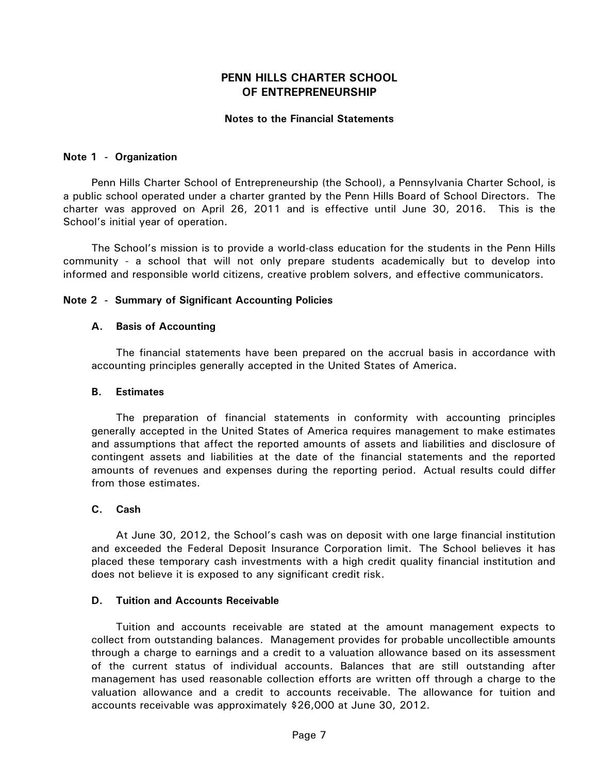### **Notes to the Financial Statements**

#### **Note 1 - Organization**

Penn Hills Charter School of Entrepreneurship (the School), a Pennsylvania Charter School, is a public school operated under a charter granted by the Penn Hills Board of School Directors. The charter was approved on April 26, 2011 and is effective until June 30, 2016. This is the School's initial year of operation.

The School's mission is to provide a world-class education for the students in the Penn Hills community - a school that will not only prepare students academically but to develop into informed and responsible world citizens, creative problem solvers, and effective communicators.

#### **Note 2 - Summary of Significant Accounting Policies**

#### **A. Basis of Accounting**

The financial statements have been prepared on the accrual basis in accordance with accounting principles generally accepted in the United States of America.

#### **B. Estimates**

The preparation of financial statements in conformity with accounting principles generally accepted in the United States of America requires management to make estimates and assumptions that affect the reported amounts of assets and liabilities and disclosure of contingent assets and liabilities at the date of the financial statements and the reported amounts of revenues and expenses during the reporting period. Actual results could differ from those estimates.

### **C. Cash**

At June 30, 2012, the School's cash was on deposit with one large financial institution and exceeded the Federal Deposit Insurance Corporation limit. The School believes it has placed these temporary cash investments with a high credit quality financial institution and does not believe it is exposed to any significant credit risk.

#### **D. Tuition and Accounts Receivable**

Tuition and accounts receivable are stated at the amount management expects to collect from outstanding balances. Management provides for probable uncollectible amounts through a charge to earnings and a credit to a valuation allowance based on its assessment of the current status of individual accounts. Balances that are still outstanding after management has used reasonable collection efforts are written off through a charge to the valuation allowance and a credit to accounts receivable. The allowance for tuition and accounts receivable was approximately \$26,000 at June 30, 2012.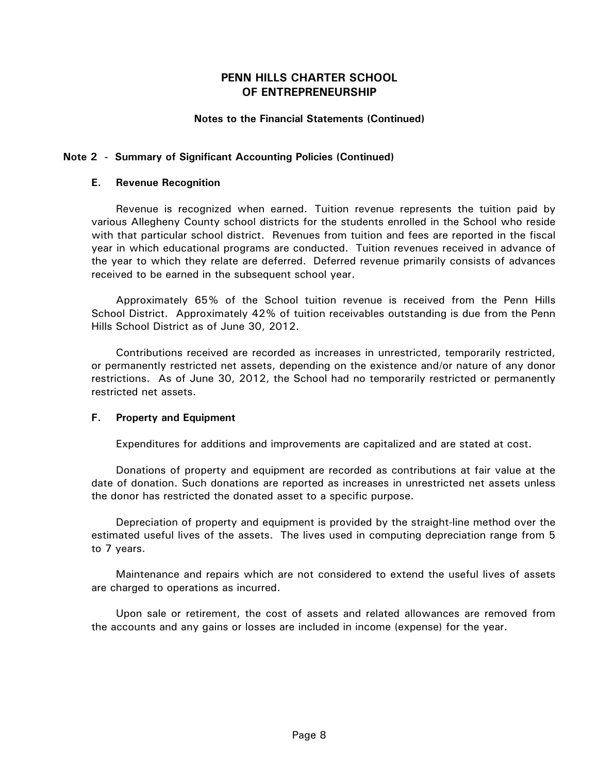## **Notes to the Financial Statements (Continued)**

### **Note 2 - Summary of Significant Accounting Policies (Continued)**

### **E. Revenue Recognition**

Revenue is recognized when earned. Tuition revenue represents the tuition paid by various Allegheny County school districts for the students enrolled in the School who reside with that particular school district. Revenues from tuition and fees are reported in the fiscal year in which educational programs are conducted. Tuition revenues received in advance of the year to which they relate are deferred. Deferred revenue primarily consists of advances received to be earned in the subsequent school year.

Approximately 65% of the School tuition revenue is received from the Penn Hills School District. Approximately 42% of tuition receivables outstanding is due from the Penn Hills School District as of June 30, 2012.

Contributions received are recorded as increases in unrestricted, temporarily restricted, or permanently restricted net assets, depending on the existence and/or nature of any donor restrictions. As of June 30, 2012, the School had no temporarily restricted or permanently restricted net assets.

### **F. Property and Equipment**

Expenditures for additions and improvements are capitalized and are stated at cost.

Donations of property and equipment are recorded as contributions at fair value at the date of donation. Such donations are reported as increases in unrestricted net assets unless the donor has restricted the donated asset to a specific purpose.

Depreciation of property and equipment is provided by the straight-line method over the estimated useful lives of the assets. The lives used in computing depreciation range from 5 to 7 years.

Maintenance and repairs which are not considered to extend the useful lives of assets are charged to operations as incurred.

Upon sale or retirement, the cost of assets and related allowances are removed from the accounts and any gains or losses are included in income (expense) for the year.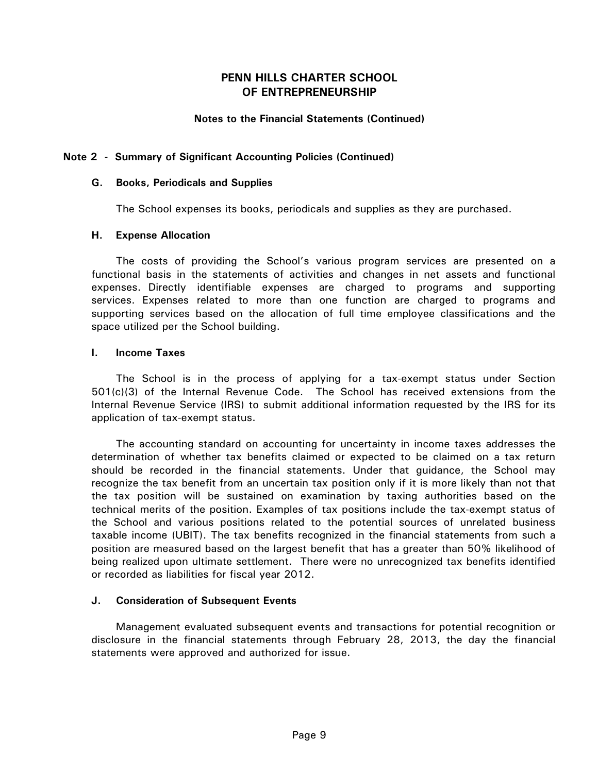### **Notes to the Financial Statements (Continued)**

### **Note 2 - Summary of Significant Accounting Policies (Continued)**

#### **G. Books, Periodicals and Supplies**

The School expenses its books, periodicals and supplies as they are purchased.

### **H. Expense Allocation**

The costs of providing the School's various program services are presented on a functional basis in the statements of activities and changes in net assets and functional expenses. Directly identifiable expenses are charged to programs and supporting services. Expenses related to more than one function are charged to programs and supporting services based on the allocation of full time employee classifications and the space utilized per the School building.

#### **I. Income Taxes**

The School is in the process of applying for a tax-exempt status under Section 501(c)(3) of the Internal Revenue Code. The School has received extensions from the Internal Revenue Service (IRS) to submit additional information requested by the IRS for its application of tax-exempt status.

The accounting standard on accounting for uncertainty in income taxes addresses the determination of whether tax benefits claimed or expected to be claimed on a tax return should be recorded in the financial statements. Under that guidance, the School may recognize the tax benefit from an uncertain tax position only if it is more likely than not that the tax position will be sustained on examination by taxing authorities based on the technical merits of the position. Examples of tax positions include the tax-exempt status of the School and various positions related to the potential sources of unrelated business taxable income (UBIT). The tax benefits recognized in the financial statements from such a position are measured based on the largest benefit that has a greater than 50% likelihood of being realized upon ultimate settlement. There were no unrecognized tax benefits identified or recorded as liabilities for fiscal year 2012.

### **J. Consideration of Subsequent Events**

Management evaluated subsequent events and transactions for potential recognition or disclosure in the financial statements through February 28, 2013, the day the financial statements were approved and authorized for issue.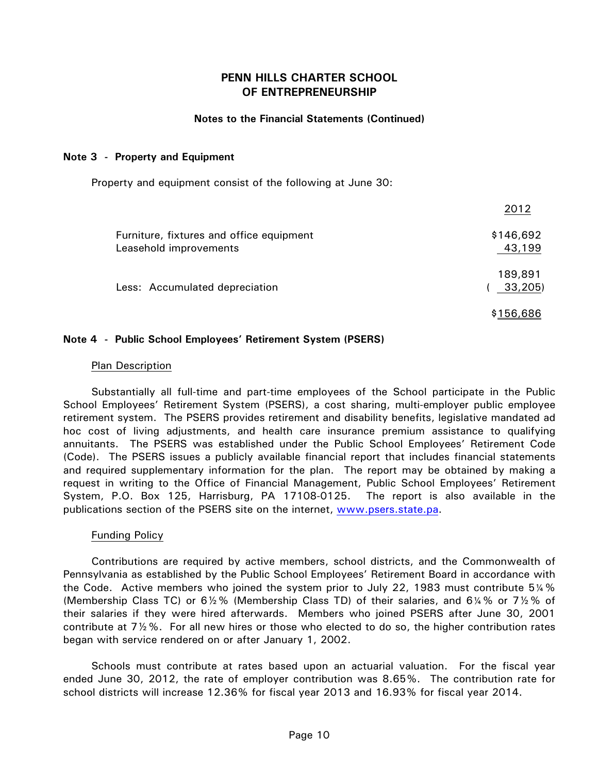### **Notes to the Financial Statements (Continued)**

### **Note 3 - Property and Equipment**

Property and equipment consist of the following at June 30:

|                                                                    | 2012                |
|--------------------------------------------------------------------|---------------------|
| Furniture, fixtures and office equipment<br>Leasehold improvements | \$146,692<br>43,199 |
| Less: Accumulated depreciation                                     | 189,891<br>33,205)  |
|                                                                    | \$156,686           |

### **Note 4 - Public School Employees' Retirement System (PSERS)**

### Plan Description

Substantially all full-time and part-time employees of the School participate in the Public School Employees' Retirement System (PSERS), a cost sharing, multi-employer public employee retirement system. The PSERS provides retirement and disability benefits, legislative mandated ad hoc cost of living adjustments, and health care insurance premium assistance to qualifying annuitants. The PSERS was established under the Public School Employees' Retirement Code (Code). The PSERS issues a publicly available financial report that includes financial statements and required supplementary information for the plan. The report may be obtained by making a request in writing to the Office of Financial Management, Public School Employees' Retirement System, P.O. Box 125, Harrisburg, PA 17108-0125. The report is also available in the publications section of the PSERS site on the internet, www.psers.state.pa.

### Funding Policy

Contributions are required by active members, school districts, and the Commonwealth of Pennsylvania as established by the Public School Employees' Retirement Board in accordance with the Code. Active members who joined the system prior to July 22, 1983 must contribute 5¼% (Membership Class TC) or 6½% (Membership Class TD) of their salaries, and 6¼% or 7½% of their salaries if they were hired afterwards. Members who joined PSERS after June 30, 2001 contribute at 7½%. For all new hires or those who elected to do so, the higher contribution rates began with service rendered on or after January 1, 2002.

Schools must contribute at rates based upon an actuarial valuation. For the fiscal year ended June 30, 2012, the rate of employer contribution was 8.65%. The contribution rate for school districts will increase 12.36% for fiscal year 2013 and 16.93% for fiscal year 2014.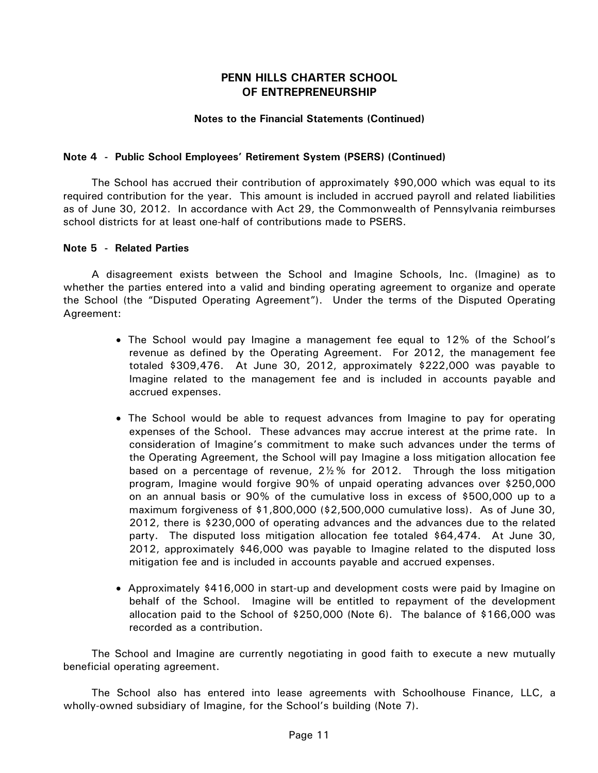### **Notes to the Financial Statements (Continued)**

### **Note 4 - Public School Employees' Retirement System (PSERS) (Continued)**

The School has accrued their contribution of approximately \$90,000 which was equal to its required contribution for the year. This amount is included in accrued payroll and related liabilities as of June 30, 2012. In accordance with Act 29, the Commonwealth of Pennsylvania reimburses school districts for at least one-half of contributions made to PSERS.

#### **Note 5 - Related Parties**

A disagreement exists between the School and Imagine Schools, Inc. (Imagine) as to whether the parties entered into a valid and binding operating agreement to organize and operate the School (the "Disputed Operating Agreement"). Under the terms of the Disputed Operating Agreement:

- The School would pay Imagine a management fee equal to 12% of the School's revenue as defined by the Operating Agreement. For 2012, the management fee totaled \$309,476. At June 30, 2012, approximately \$222,000 was payable to Imagine related to the management fee and is included in accounts payable and accrued expenses.
- The School would be able to request advances from Imagine to pay for operating expenses of the School. These advances may accrue interest at the prime rate. In consideration of Imagine's commitment to make such advances under the terms of the Operating Agreement, the School will pay Imagine a loss mitigation allocation fee based on a percentage of revenue, 2½% for 2012. Through the loss mitigation program, Imagine would forgive 90% of unpaid operating advances over \$250,000 on an annual basis or 90% of the cumulative loss in excess of \$500,000 up to a maximum forgiveness of \$1,800,000 (\$2,500,000 cumulative loss). As of June 30, 2012, there is \$230,000 of operating advances and the advances due to the related party. The disputed loss mitigation allocation fee totaled \$64,474. At June 30, 2012, approximately \$46,000 was payable to Imagine related to the disputed loss mitigation fee and is included in accounts payable and accrued expenses.
- Approximately \$416,000 in start-up and development costs were paid by Imagine on behalf of the School. Imagine will be entitled to repayment of the development allocation paid to the School of \$250,000 (Note 6). The balance of \$166,000 was recorded as a contribution.

The School and Imagine are currently negotiating in good faith to execute a new mutually beneficial operating agreement.

The School also has entered into lease agreements with Schoolhouse Finance, LLC, a wholly-owned subsidiary of Imagine, for the School's building (Note 7).